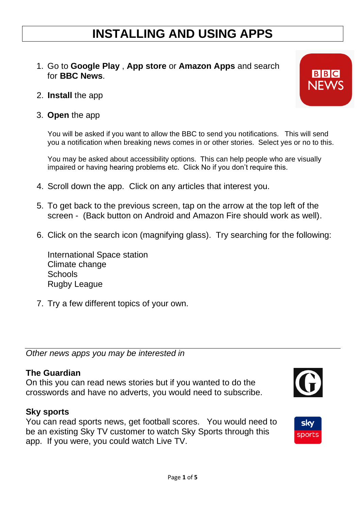# **INSTALLING AND USING APPS**

- 1. Go to **Google Play** , **App store** or **Amazon Apps** and search for **BBC News**.
- 2. **Install** the app
- 3. **Open** the app

You will be asked if you want to allow the BBC to send you notifications. This will send you a notification when breaking news comes in or other stories. Select yes or no to this.

You may be asked about accessibility options. This can help people who are visually impaired or having hearing problems etc. Click No if you don't require this.

- 4. Scroll down the app. Click on any articles that interest you.
- 5. To get back to the previous screen, tap on the arrow at the top left of the screen - (Back button on Android and Amazon Fire should work as well).
- 6. Click on the search icon (magnifying glass). Try searching for the following:

International Space station Climate change **Schools** Rugby League

7. Try a few different topics of your own.

*Other news apps you may be interested in*

#### **The Guardian**

On this you can read news stories but if you wanted to do the crosswords and have no adverts, you would need to subscribe.

#### **Sky sports**

You can read sports news, get football scores. You would need to be an existing Sky TV customer to watch Sky Sports through this app. If you were, you could watch Live TV.



sports

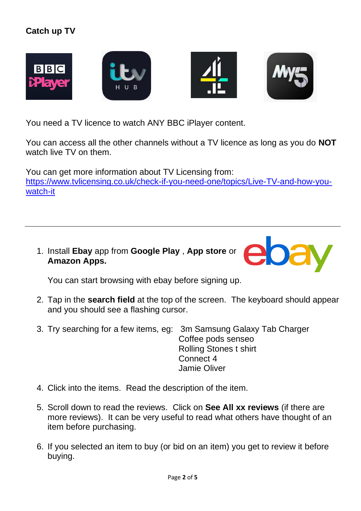# **Catch up TV**





You need a TV licence to watch ANY BBC iPlayer content.

You can access all the other channels without a TV licence as long as you do **NOT** watch live TV on them.

You can get more information about TV Licensing from: [https://www.tvlicensing.co.uk/check-if-you-need-one/topics/Live-TV-and-how-you](https://www.tvlicensing.co.uk/check-if-you-need-one/topics/Live-TV-and-how-you-watch-it)[watch-it](https://www.tvlicensing.co.uk/check-if-you-need-one/topics/Live-TV-and-how-you-watch-it)

1. Install **Ebay** app from **Google Play** , **App store** or **Amazon Apps.**



You can start browsing with ebay before signing up.

- 2. Tap in the **search field** at the top of the screen. The keyboard should appear and you should see a flashing cursor.
- 3. Try searching for a few items, eg: 3m Samsung Galaxy Tab Charger Coffee pods senseo Rolling Stones t shirt Connect 4 Jamie Oliver
- 4. Click into the items. Read the description of the item.
- 5. Scroll down to read the reviews. Click on **See All xx reviews** (if there are more reviews). It can be very useful to read what others have thought of an item before purchasing.
- 6. If you selected an item to buy (or bid on an item) you get to review it before buying.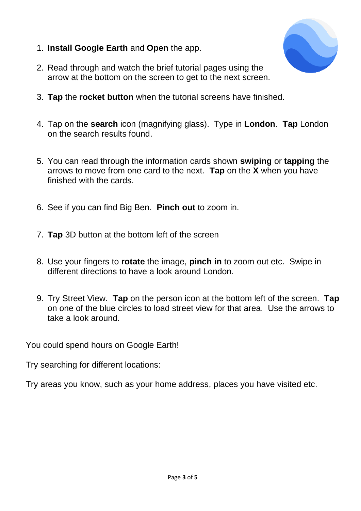1. **Install Google Earth** and **Open** the app.



- 2. Read through and watch the brief tutorial pages using the arrow at the bottom on the screen to get to the next screen.
- 3. **Tap** the **rocket button** when the tutorial screens have finished.
- 4. Tap on the **search** icon (magnifying glass). Type in **London**. **Tap** London on the search results found.
- 5. You can read through the information cards shown **swiping** or **tapping** the arrows to move from one card to the next. **Tap** on the **X** when you have finished with the cards.
- 6. See if you can find Big Ben. **Pinch out** to zoom in.
- 7. **Tap** 3D button at the bottom left of the screen
- 8. Use your fingers to **rotate** the image, **pinch in** to zoom out etc. Swipe in different directions to have a look around London.
- 9. Try Street View. **Tap** on the person icon at the bottom left of the screen. **Tap** on one of the blue circles to load street view for that area. Use the arrows to take a look around.

You could spend hours on Google Earth!

Try searching for different locations:

Try areas you know, such as your home address, places you have visited etc.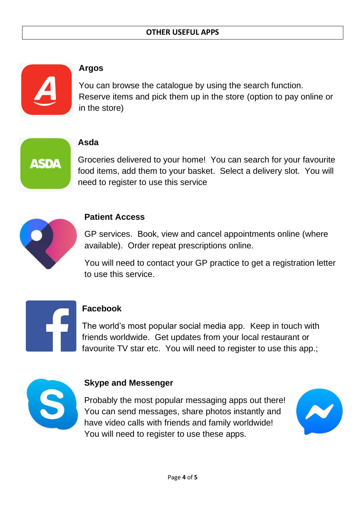

#### **Argos**

You can browse the catalogue by using the search function. Reserve items and pick them up in the store (option to pay online or in the store)



#### **Asda**

Groceries delivered to your home! You can search for your favourite food items, add them to your basket. Select a delivery slot. You will need to register to use this service



### **Patient Access**

GP services. Book, view and cancel appointments online (where available). Order repeat prescriptions online.

You will need to contact your GP practice to get a registration letter to use this service.



## **Facebook**

The world's most popular social media app. Keep in touch with friends worldwide. Get updates from your local restaurant or favourite TV star etc. You will need to register to use this app.;



## **Skype and Messenger**

Probably the most popular messaging apps out there! You can send messages, share photos instantly and have video calls with friends and family worldwide! You will need to register to use these apps.